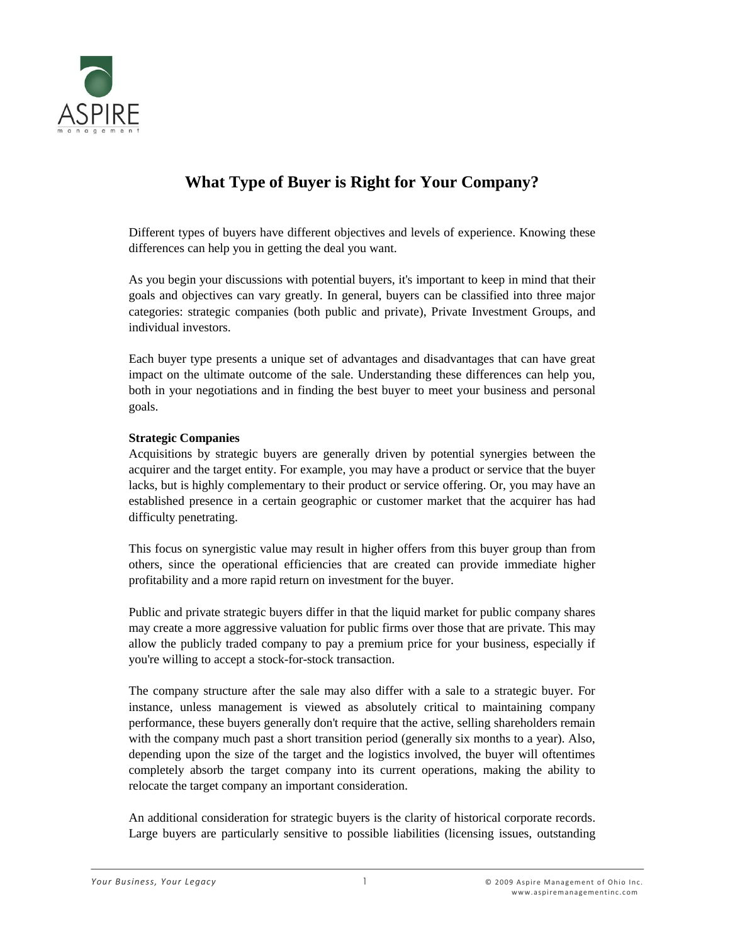

# **What Type of Buyer is Right for Your Company?**

Different types of buyers have different objectives and levels of experience. Knowing these differences can help you in getting the deal you want.

As you begin your discussions with potential buyers, it's important to keep in mind that their goals and objectives can vary greatly. In general, buyers can be classified into three major categories: strategic companies (both public and private), Private Investment Groups, and individual investors.

Each buyer type presents a unique set of advantages and disadvantages that can have great impact on the ultimate outcome of the sale. Understanding these differences can help you, both in your negotiations and in finding the best buyer to meet your business and personal goals.

### **Strategic Companies**

Acquisitions by strategic buyers are generally driven by potential synergies between the acquirer and the target entity. For example, you may have a product or service that the buyer lacks, but is highly complementary to their product or service offering. Or, you may have an established presence in a certain geographic or customer market that the acquirer has had difficulty penetrating.

This focus on synergistic value may result in higher offers from this buyer group than from others, since the operational efficiencies that are created can provide immediate higher profitability and a more rapid return on investment for the buyer.

Public and private strategic buyers differ in that the liquid market for public company shares may create a more aggressive valuation for public firms over those that are private. This may allow the publicly traded company to pay a premium price for your business, especially if you're willing to accept a stock-for-stock transaction.

The company structure after the sale may also differ with a sale to a strategic buyer. For instance, unless management is viewed as absolutely critical to maintaining company performance, these buyers generally don't require that the active, selling shareholders remain with the company much past a short transition period (generally six months to a year). Also, depending upon the size of the target and the logistics involved, the buyer will oftentimes completely absorb the target company into its current operations, making the ability to relocate the target company an important consideration.

An additional consideration for strategic buyers is the clarity of historical corporate records. Large buyers are particularly sensitive to possible liabilities (licensing issues, outstanding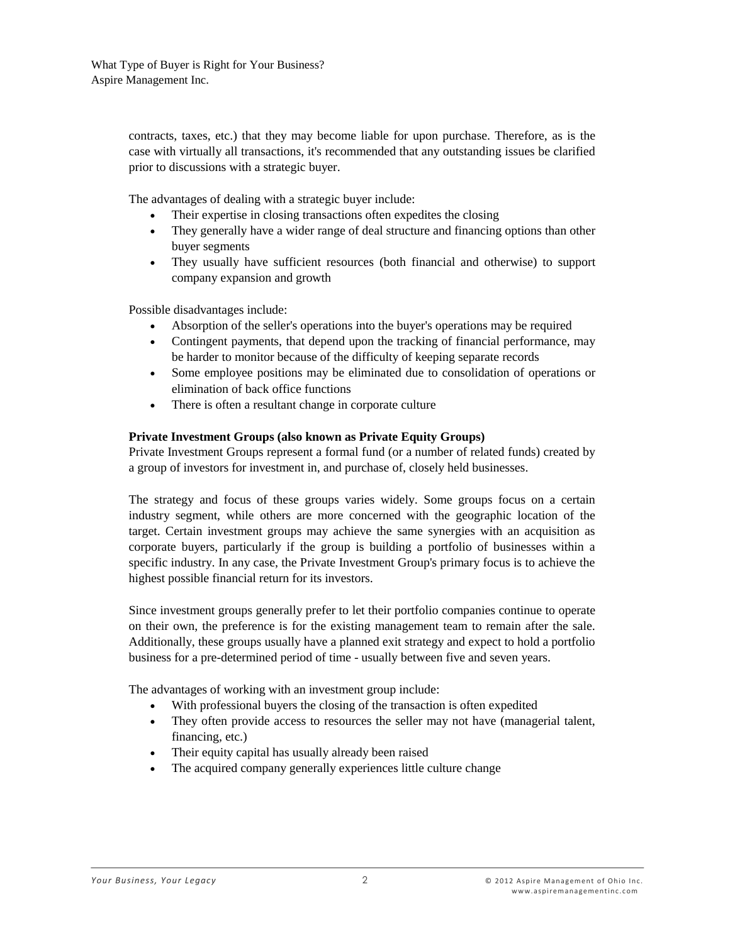contracts, taxes, etc.) that they may become liable for upon purchase. Therefore, as is the case with virtually all transactions, it's recommended that any outstanding issues be clarified prior to discussions with a strategic buyer.

The advantages of dealing with a strategic buyer include:

- Their expertise in closing transactions often expedites the closing
- They generally have a wider range of deal structure and financing options than other buyer segments
- They usually have sufficient resources (both financial and otherwise) to support company expansion and growth

Possible disadvantages include:

- Absorption of the seller's operations into the buyer's operations may be required
- Contingent payments, that depend upon the tracking of financial performance, may be harder to monitor because of the difficulty of keeping separate records
- Some employee positions may be eliminated due to consolidation of operations or elimination of back office functions
- There is often a resultant change in corporate culture

## **Private Investment Groups (also known as Private Equity Groups)**

Private Investment Groups represent a formal fund (or a number of related funds) created by a group of investors for investment in, and purchase of, closely held businesses.

The strategy and focus of these groups varies widely. Some groups focus on a certain industry segment, while others are more concerned with the geographic location of the target. Certain investment groups may achieve the same synergies with an acquisition as corporate buyers, particularly if the group is building a portfolio of businesses within a specific industry. In any case, the Private Investment Group's primary focus is to achieve the highest possible financial return for its investors.

Since investment groups generally prefer to let their portfolio companies continue to operate on their own, the preference is for the existing management team to remain after the sale. Additionally, these groups usually have a planned exit strategy and expect to hold a portfolio business for a pre-determined period of time - usually between five and seven years.

The advantages of working with an investment group include:

- With professional buyers the closing of the transaction is often expedited
- They often provide access to resources the seller may not have (managerial talent, financing, etc.)
- Their equity capital has usually already been raised
- The acquired company generally experiences little culture change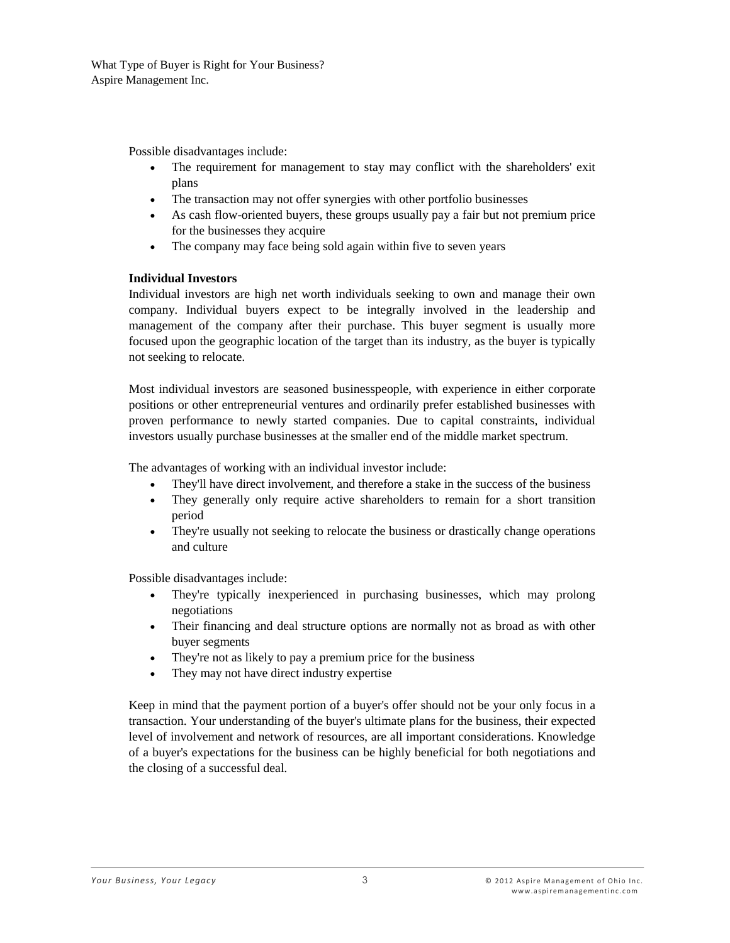What Type of Buyer is Right for Your Business? Aspire Management Inc.

Possible disadvantages include:

- The requirement for management to stay may conflict with the shareholders' exit plans
- The transaction may not offer synergies with other portfolio businesses
- As cash flow-oriented buyers, these groups usually pay a fair but not premium price for the businesses they acquire
- The company may face being sold again within five to seven years

### **Individual Investors**

Individual investors are high net worth individuals seeking to own and manage their own company. Individual buyers expect to be integrally involved in the leadership and management of the company after their purchase. This buyer segment is usually more focused upon the geographic location of the target than its industry, as the buyer is typically not seeking to relocate.

Most individual investors are seasoned businesspeople, with experience in either corporate positions or other entrepreneurial ventures and ordinarily prefer established businesses with proven performance to newly started companies. Due to capital constraints, individual investors usually purchase businesses at the smaller end of the middle market spectrum.

The advantages of working with an individual investor include:

- They'll have direct involvement, and therefore a stake in the success of the business
- They generally only require active shareholders to remain for a short transition period
- They're usually not seeking to relocate the business or drastically change operations and culture

Possible disadvantages include:

- They're typically inexperienced in purchasing businesses, which may prolong negotiations
- Their financing and deal structure options are normally not as broad as with other buyer segments
- They're not as likely to pay a premium price for the business
- They may not have direct industry expertise

Keep in mind that the payment portion of a buyer's offer should not be your only focus in a transaction. Your understanding of the buyer's ultimate plans for the business, their expected level of involvement and network of resources, are all important considerations. Knowledge of a buyer's expectations for the business can be highly beneficial for both negotiations and the closing of a successful deal.